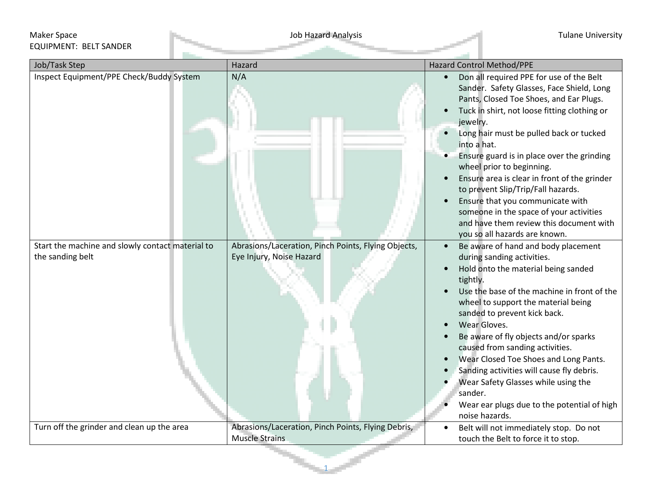## Maker Space Job Hazard Analysis Tulane University EQUIPMENT: BELT SANDER

| Job/Task Step                                                        | Hazard                                                                          | Hazard Control Method/PPE                                                                                                                                                                                                                                                                                                                                                                                                                                                                                                                  |
|----------------------------------------------------------------------|---------------------------------------------------------------------------------|--------------------------------------------------------------------------------------------------------------------------------------------------------------------------------------------------------------------------------------------------------------------------------------------------------------------------------------------------------------------------------------------------------------------------------------------------------------------------------------------------------------------------------------------|
| Inspect Equipment/PPE Check/Buddy System                             | N/A                                                                             | Don all required PPE for use of the Belt<br>$\bullet$<br>Sander. Safety Glasses, Face Shield, Long<br>Pants, Closed Toe Shoes, and Ear Plugs.<br>Tuck in shirt, not loose fitting clothing or<br>jewelry.                                                                                                                                                                                                                                                                                                                                  |
|                                                                      |                                                                                 | Long hair must be pulled back or tucked<br>$\bullet$<br>into a hat.                                                                                                                                                                                                                                                                                                                                                                                                                                                                        |
|                                                                      |                                                                                 | Ensure guard is in place over the grinding<br>wheel prior to beginning.                                                                                                                                                                                                                                                                                                                                                                                                                                                                    |
|                                                                      |                                                                                 | Ensure area is clear in front of the grinder<br>to prevent Slip/Trip/Fall hazards.                                                                                                                                                                                                                                                                                                                                                                                                                                                         |
|                                                                      |                                                                                 | Ensure that you communicate with<br>someone in the space of your activities<br>and have them review this document with<br>you so all hazards are known.                                                                                                                                                                                                                                                                                                                                                                                    |
| Start the machine and slowly contact material to<br>the sanding belt | Abrasions/Laceration, Pinch Points, Flying Objects,<br>Eye Injury, Noise Hazard | Be aware of hand and body placement<br>$\bullet$<br>during sanding activities.<br>Hold onto the material being sanded<br>tightly.<br>Use the base of the machine in front of the<br>wheel to support the material being<br>sanded to prevent kick back.<br>Wear Gloves.<br>Be aware of fly objects and/or sparks<br>caused from sanding activities.<br>Wear Closed Toe Shoes and Long Pants.<br>Sanding activities will cause fly debris.<br>Wear Safety Glasses while using the<br>sander.<br>Wear ear plugs due to the potential of high |
|                                                                      |                                                                                 | noise hazards.                                                                                                                                                                                                                                                                                                                                                                                                                                                                                                                             |
| Turn off the grinder and clean up the area                           | Abrasions/Laceration, Pinch Points, Flying Debris,<br><b>Muscle Strains</b>     | Belt will not immediately stop. Do not<br>touch the Belt to force it to stop.                                                                                                                                                                                                                                                                                                                                                                                                                                                              |

1